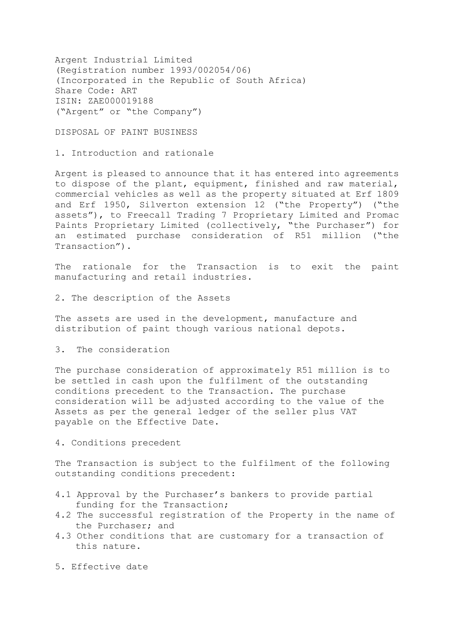Argent Industrial Limited (Registration number 1993/002054/06) (Incorporated in the Republic of South Africa) Share Code: ART ISIN: ZAE000019188 ("Argent" or "the Company")

DISPOSAL OF PAINT BUSINESS

1. Introduction and rationale

Argent is pleased to announce that it has entered into agreements to dispose of the plant, equipment, finished and raw material, commercial vehicles as well as the property situated at Erf 1809 and Erf 1950, Silverton extension 12 ("the Property") ("the assets"), to Freecall Trading 7 Proprietary Limited and Promac Paints Proprietary Limited (collectively, "the Purchaser") for an estimated purchase consideration of R51 million ("the Transaction").

The rationale for the Transaction is to exit the paint manufacturing and retail industries.

2. The description of the Assets

The assets are used in the development, manufacture and distribution of paint though various national depots.

3. The consideration

The purchase consideration of approximately R51 million is to be settled in cash upon the fulfilment of the outstanding conditions precedent to the Transaction. The purchase consideration will be adjusted according to the value of the Assets as per the general ledger of the seller plus VAT payable on the Effective Date.

4. Conditions precedent

The Transaction is subject to the fulfilment of the following outstanding conditions precedent:

- 4.1 Approval by the Purchaser's bankers to provide partial funding for the Transaction;
- 4.2 The successful registration of the Property in the name of the Purchaser; and
- 4.3 Other conditions that are customary for a transaction of this nature.
- 5. Effective date